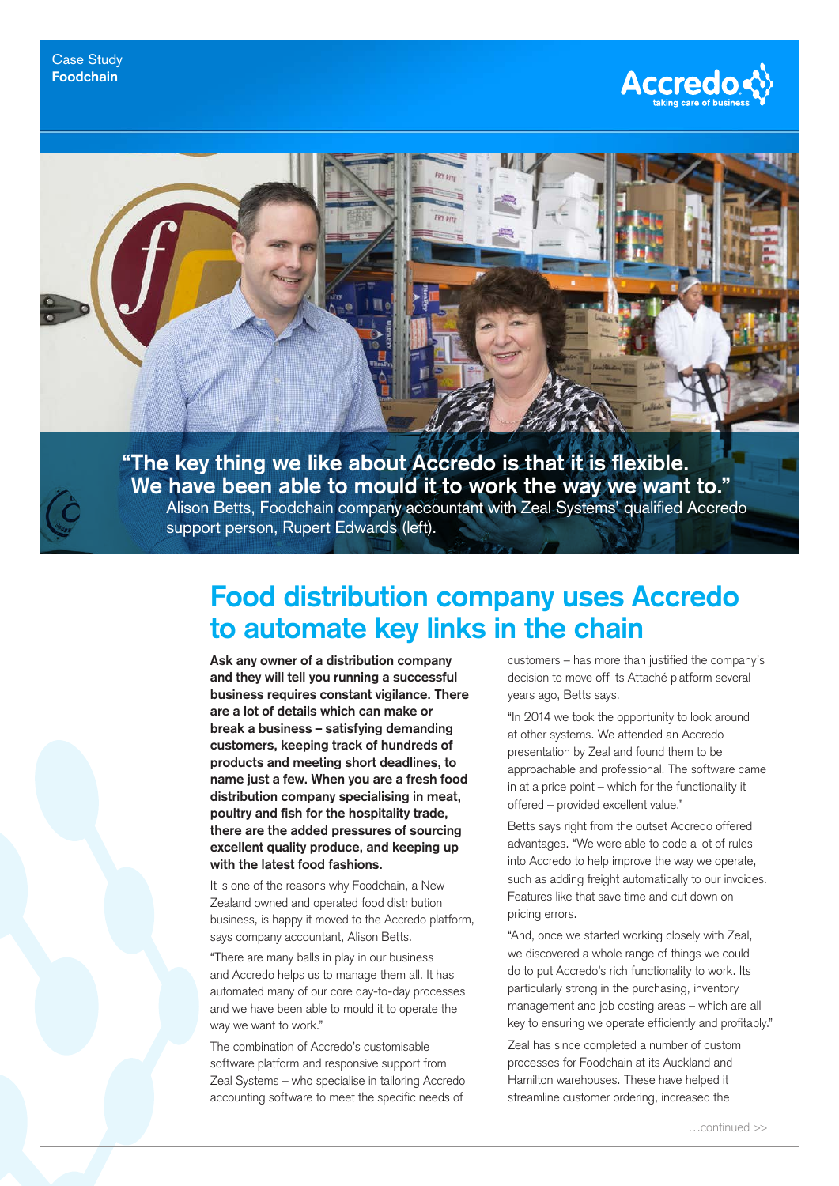



support person, Rupert Edwards (left).

## **Food distribution company uses Accredo to automate key links in the chain**

**Ask any owner of a distribution company and they will tell you running a successful business requires constant vigilance. There are a lot of details which can make or break a business – satisfying demanding customers, keeping track of hundreds of products and meeting short deadlines, to name just a few. When you are a fresh food distribution company specialising in meat, poultry and fish for the hospitality trade, there are the added pressures of sourcing excellent quality produce, and keeping up with the latest food fashions.**

It is one of the reasons why Foodchain, a New Zealand owned and operated food distribution business, is happy it moved to the Accredo platform, says company accountant, Alison Betts.

"There are many balls in play in our business and Accredo helps us to manage them all. It has automated many of our core day-to-day processes and we have been able to mould it to operate the way we want to work."

The combination of Accredo's customisable software platform and responsive support from Zeal Systems – who specialise in tailoring Accredo accounting software to meet the specific needs of

customers – has more than justified the company's decision to move off its Attaché platform several years ago, Betts says.

"In 2014 we took the opportunity to look around at other systems. We attended an Accredo presentation by Zeal and found them to be approachable and professional. The software came in at a price point – which for the functionality it offered – provided excellent value."

Betts says right from the outset Accredo offered advantages. "We were able to code a lot of rules into Accredo to help improve the way we operate, such as adding freight automatically to our invoices. Features like that save time and cut down on pricing errors.

"And, once we started working closely with Zeal, we discovered a whole range of things we could do to put Accredo's rich functionality to work. Its particularly strong in the purchasing, inventory management and job costing areas – which are all key to ensuring we operate efficiently and profitably."

Zeal has since completed a number of custom processes for Foodchain at its Auckland and Hamilton warehouses. These have helped it streamline customer ordering, increased the